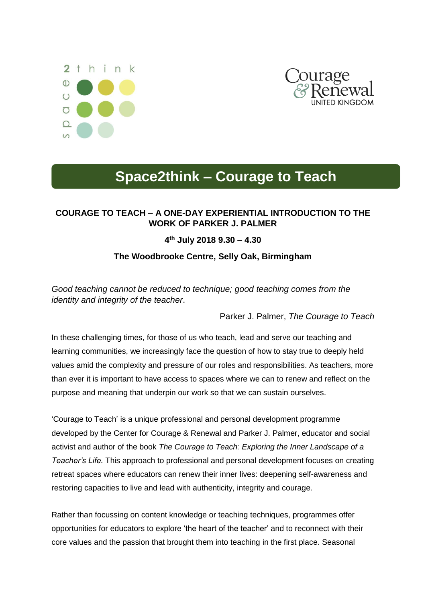



## **Space2think – Courage to Teach**

## **COURAGE TO TEACH – A ONE-DAY EXPERIENTIAL INTRODUCTION TO THE WORK OF PARKER J. PALMER**

## **4 th July 2018 9.30 – 4.30**

## **The Woodbrooke Centre, Selly Oak, Birmingham**

*Good teaching cannot be reduced to technique; good teaching comes from the identity and integrity of the teacher*.

Parker J. Palmer, *The Courage to Teach*

In these challenging times, for those of us who teach, lead and serve our teaching and learning communities, we increasingly face the question of how to stay true to deeply held values amid the complexity and pressure of our roles and responsibilities. As teachers, more than ever it is important to have access to spaces where we can to renew and reflect on the purpose and meaning that underpin our work so that we can sustain ourselves.

'Courage to Teach' is a unique professional and personal development programme developed by the Center for Courage & Renewal and Parker J. Palmer, educator and social activist and author of the book *The Courage to Teach: Exploring the Inner Landscape of a Teacher's Life.* This approach to professional and personal development focuses on creating retreat spaces where educators can renew their inner lives: deepening self-awareness and restoring capacities to live and lead with authenticity, integrity and courage.

Rather than focussing on content knowledge or teaching techniques, programmes offer opportunities for educators to explore 'the heart of the teacher' and to reconnect with their core values and the passion that brought them into teaching in the first place. Seasonal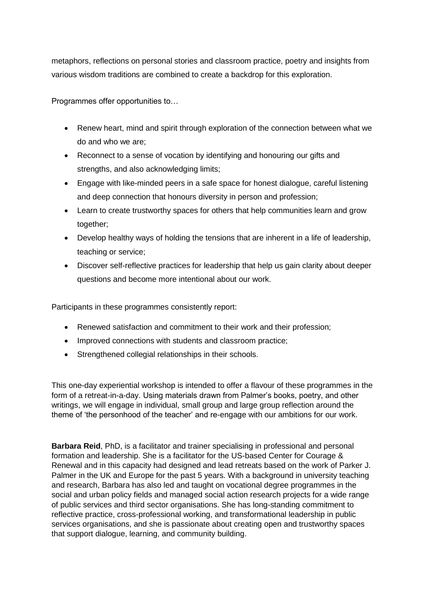metaphors, reflections on personal stories and classroom practice, poetry and insights from various wisdom traditions are combined to create a backdrop for this exploration.

Programmes offer opportunities to…

- Renew heart, mind and spirit through exploration of the connection between what we do and who we are;
- Reconnect to a sense of vocation by identifying and honouring our gifts and strengths, and also acknowledging limits;
- Engage with like-minded peers in a safe space for honest dialogue, careful listening and deep connection that honours diversity in person and profession;
- Learn to create trustworthy spaces for others that help communities learn and grow together;
- Develop healthy ways of holding the tensions that are inherent in a life of leadership, teaching or service;
- Discover self-reflective practices for leadership that help us gain clarity about deeper questions and become more intentional about our work.

Participants in these programmes consistently report:

- Renewed satisfaction and commitment to their work and their profession;
- Improved connections with students and classroom practice;
- Strengthened collegial relationships in their schools.

This one-day experiential workshop is intended to offer a flavour of these programmes in the form of a retreat-in-a-day. Using materials drawn from Palmer's books, poetry, and other writings, we will engage in individual, small group and large group reflection around the theme of 'the personhood of the teacher' and re-engage with our ambitions for our work.

**Barbara Reid**, PhD, is a facilitator and trainer specialising in professional and personal formation and leadership. She is a facilitator for the US-based Center for Courage & Renewal and in this capacity had designed and lead retreats based on the work of Parker J. Palmer in the UK and Europe for the past 5 years. With a background in university teaching and research, Barbara has also led and taught on vocational degree programmes in the social and urban policy fields and managed social action research projects for a wide range of public services and third sector organisations. She has long-standing commitment to reflective practice, cross-professional working, and transformational leadership in public services organisations, and she is passionate about creating open and trustworthy spaces that support dialogue, learning, and community building.